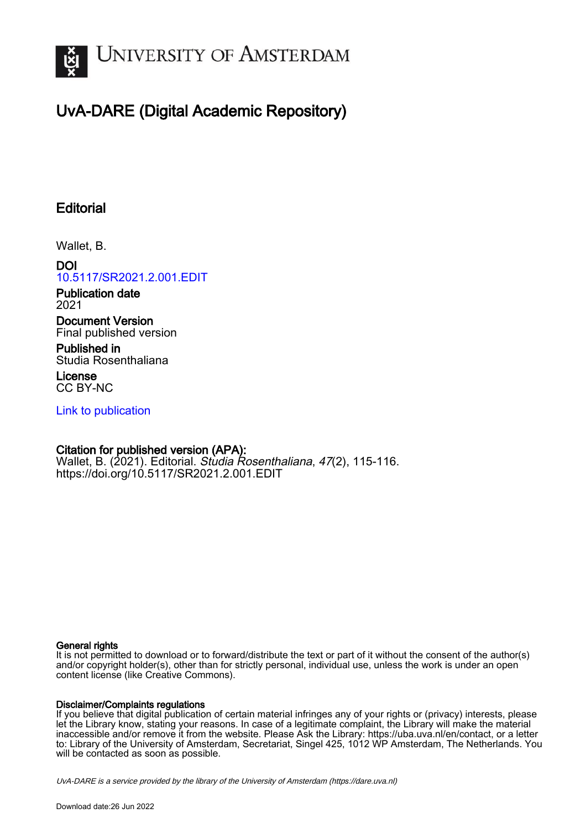

# UvA-DARE (Digital Academic Repository)

## **Editorial**

Wallet, B.

DOI [10.5117/SR2021.2.001.EDIT](https://doi.org/10.5117/SR2021.2.001.EDIT)

Publication date 2021

Document Version Final published version

Published in Studia Rosenthaliana

License CC BY-NC

[Link to publication](https://dare.uva.nl/personal/pure/en/publications/editorial(df79e40c-71a8-457e-a974-dc65064e2490).html)

### Citation for published version (APA):

Wallet, B. (2021). Editorial. Studia Rosenthaliana, 47(2), 115-116. <https://doi.org/10.5117/SR2021.2.001.EDIT>

#### General rights

It is not permitted to download or to forward/distribute the text or part of it without the consent of the author(s) and/or copyright holder(s), other than for strictly personal, individual use, unless the work is under an open content license (like Creative Commons).

#### Disclaimer/Complaints regulations

If you believe that digital publication of certain material infringes any of your rights or (privacy) interests, please let the Library know, stating your reasons. In case of a legitimate complaint, the Library will make the material inaccessible and/or remove it from the website. Please Ask the Library: https://uba.uva.nl/en/contact, or a letter to: Library of the University of Amsterdam, Secretariat, Singel 425, 1012 WP Amsterdam, The Netherlands. You will be contacted as soon as possible.

UvA-DARE is a service provided by the library of the University of Amsterdam (http*s*://dare.uva.nl)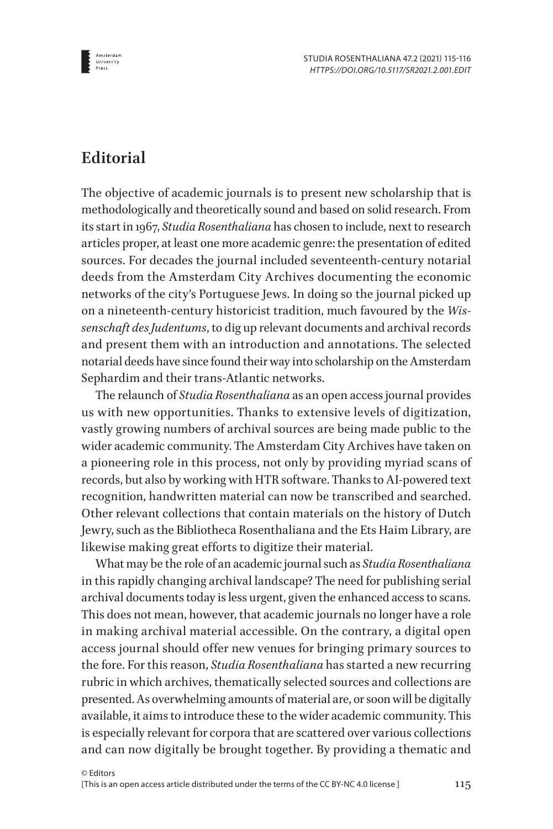

### **Editorial**

The objective of academic journals is to present new scholarship that is methodologically and theoretically sound and based on solid research. From its start in 1967, *Studia Rosenthaliana* has chosen to include, next to research articles proper, at least one more academic genre: the presentation of edited sources. For decades the journal included seventeenth-century notarial deeds from the Amsterdam City Archives documenting the economic networks of the city's Portuguese Jews. In doing so the journal picked up on a nineteenth-century historicist tradition, much favoured by the *Wissenschaft des Judentums*, to dig up relevant documents and archival records and present them with an introduction and annotations. The selected notarial deeds have since found their way into scholarship on the Amsterdam Sephardim and their trans-Atlantic networks.

The relaunch of *Studia Rosenthaliana* as an open access journal provides us with new opportunities. Thanks to extensive levels of digitization, vastly growing numbers of archival sources are being made public to the wider academic community. The Amsterdam City Archives have taken on a pioneering role in this process, not only by providing myriad scans of records, but also by working with HTR software. Thanks to AI-powered text recognition, handwritten material can now be transcribed and searched. Other relevant collections that contain materials on the history of Dutch Jewry, such as the Bibliotheca Rosenthaliana and the Ets Haim Library, are likewise making great efforts to digitize their material.

What may be the role of an academic journal such as *Studia Rosenthaliana*  in this rapidly changing archival landscape? The need for publishing serial archival documents today is less urgent, given the enhanced access to scans. This does not mean, however, that academic journals no longer have a role in making archival material accessible. On the contrary, a digital open access journal should offer new venues for bringing primary sources to the fore. For this reason, *Studia Rosenthaliana* has started a new recurring rubric in which archives, thematically selected sources and collections are presented. As overwhelming amounts of material are, or soon will be digitally available, it aims to introduce these to the wider academic community. This is especially relevant for corpora that are scattered over various collections and can now digitally be brought together. By providing a thematic and